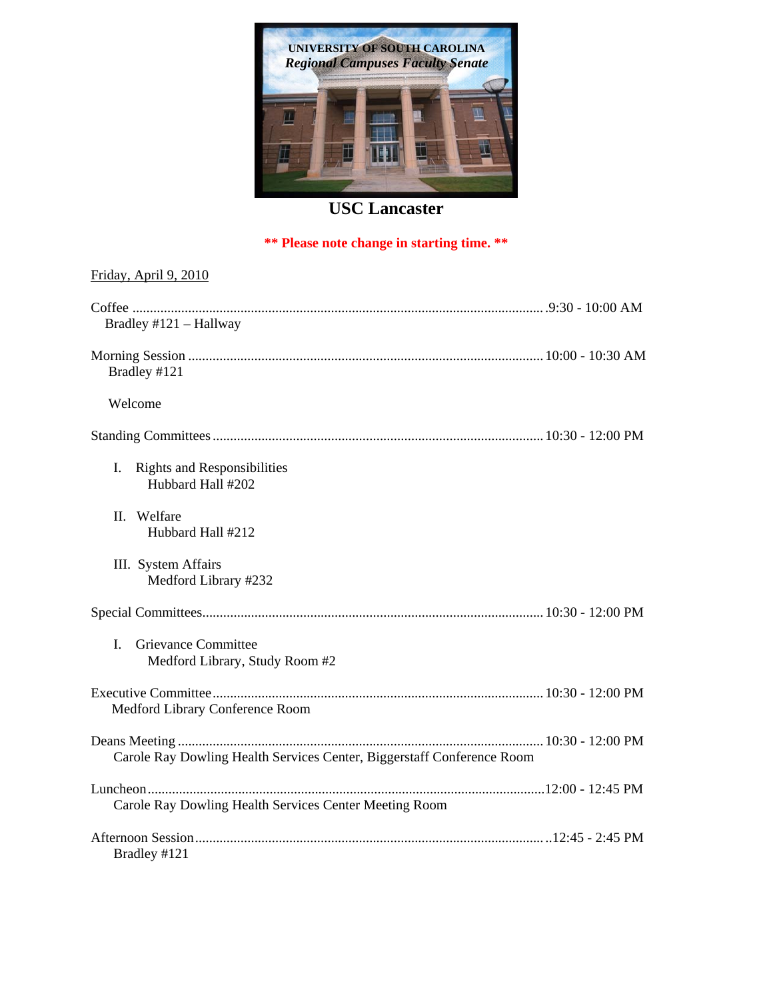

## **USC Lancaster**

### **\*\* Please note change in starting time. \*\***

# Friday, April 9, 2010 Coffee ...................................................................................................................... .9:30 - 10:00 AM Bradley #121 – Hallway Morning Session ...................................................................................................... 10:00 - 10:30 AM Bradley #121 Welcome Standing Committees ............................................................................................... 10:30 - 12:00 PM I. Rights and Responsibilities Hubbard Hall #202 II. Welfare Hubbard Hall #212 III. System Affairs Medford Library #232 Special Committees .................................................................................................. 10:30 - 12:00 PM I. Grievance Committee Medford Library, Study Room #2 Executive Committee ............................................................................................... 10:30 - 12:00 PM Medford Library Conference Room Deans Meeting ......................................................................................................... 10:30 - 12:00 PM Carole Ray Dowling Health Services Center, Biggerstaff Conference Room Luncheon ..................................................................................................................12:00 - 12:45 PM Carole Ray Dowling Health Services Center Meeting Room Afternoon Session .................................................................................................... ..12:45 - 2:45 PM Bradley #121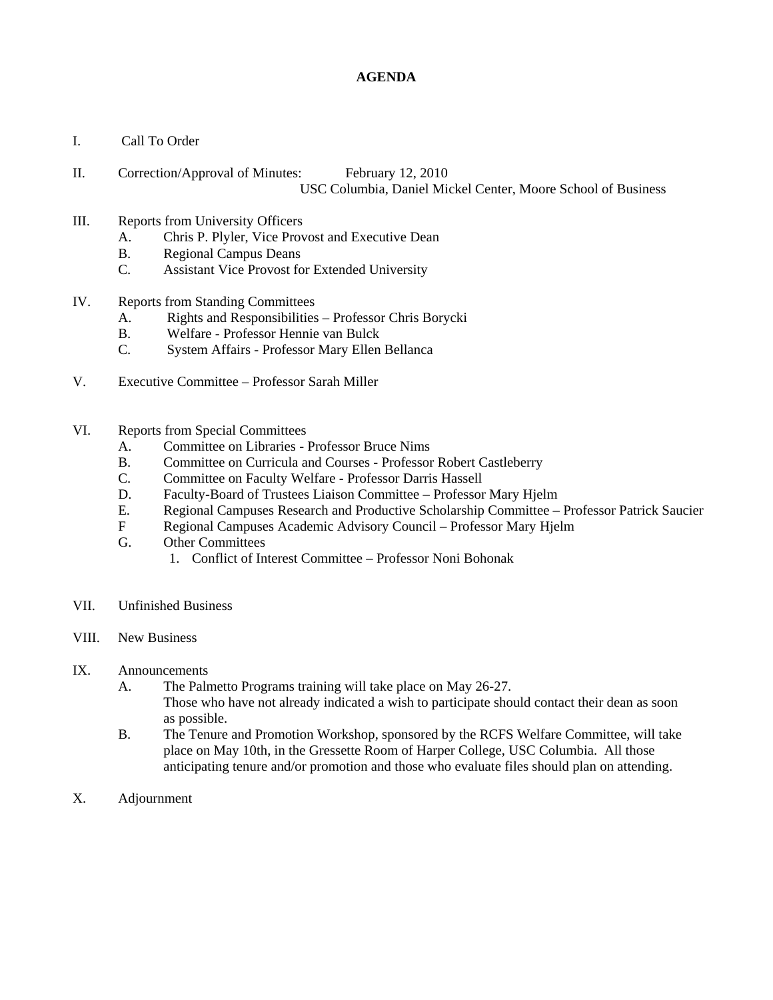## **AGENDA**

- I. Call To Order
- II. Correction/Approval of Minutes: February 12, 2010 USC Columbia, Daniel Mickel Center, Moore School of Business
- III. Reports from University Officers
	- A. Chris P. Plyler, Vice Provost and Executive Dean
	- B. Regional Campus Deans
	- C. Assistant Vice Provost for Extended University
- IV. Reports from Standing Committees
	- A. Rights and Responsibilities Professor Chris Borycki
	- B. Welfare Professor Hennie van Bulck
	- C. System Affairs Professor Mary Ellen Bellanca
- V. Executive Committee Professor Sarah Miller
- VI. Reports from Special Committees
	- A. Committee on Libraries Professor Bruce Nims
	- B. Committee on Curricula and Courses Professor Robert Castleberry
	- C. Committee on Faculty Welfare Professor Darris Hassell
	- D. Faculty-Board of Trustees Liaison Committee Professor Mary Hjelm
	- E. Regional Campuses Research and Productive Scholarship Committee Professor Patrick Saucier
	- F Regional Campuses Academic Advisory Council Professor Mary Hjelm
	- G. Other Committees
		- 1. Conflict of Interest Committee Professor Noni Bohonak
- VII. Unfinished Business
- VIII. New Business
- IX. Announcements
	- A. The Palmetto Programs training will take place on May 26-27. Those who have not already indicated a wish to participate should contact their dean as soon as possible.
	- B. The Tenure and Promotion Workshop, sponsored by the RCFS Welfare Committee, will take place on May 10th, in the Gressette Room of Harper College, USC Columbia. All those anticipating tenure and/or promotion and those who evaluate files should plan on attending.
- X. Adjournment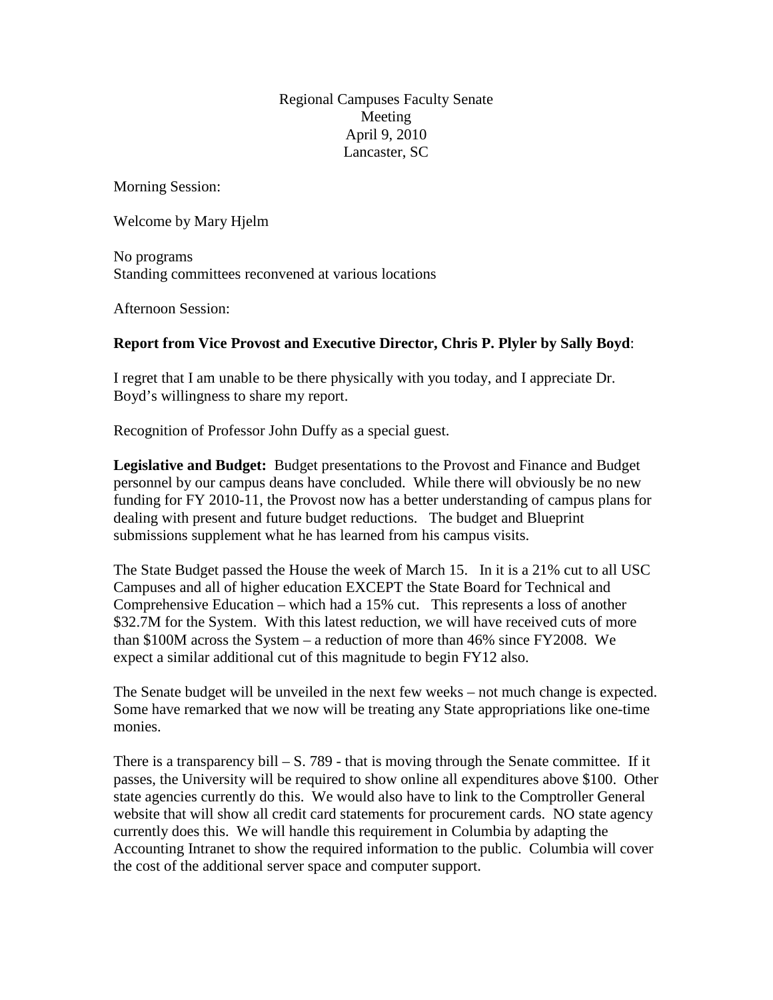Regional Campuses Faculty Senate Meeting April 9, 2010 Lancaster, SC

Morning Session:

Welcome by Mary Hjelm

No programs Standing committees reconvened at various locations

Afternoon Session:

## **Report from Vice Provost and Executive Director, Chris P. Plyler by Sally Boyd**:

I regret that I am unable to be there physically with you today, and I appreciate Dr. Boyd's willingness to share my report.

Recognition of Professor John Duffy as a special guest.

**Legislative and Budget:** Budget presentations to the Provost and Finance and Budget personnel by our campus deans have concluded. While there will obviously be no new funding for FY 2010-11, the Provost now has a better understanding of campus plans for dealing with present and future budget reductions. The budget and Blueprint submissions supplement what he has learned from his campus visits.

The State Budget passed the House the week of March 15. In it is a 21% cut to all USC Campuses and all of higher education EXCEPT the State Board for Technical and Comprehensive Education – which had a 15% cut. This represents a loss of another \$32.7M for the System. With this latest reduction, we will have received cuts of more than \$100M across the System – a reduction of more than 46% since FY2008. We expect a similar additional cut of this magnitude to begin FY12 also.

The Senate budget will be unveiled in the next few weeks – not much change is expected. Some have remarked that we now will be treating any State appropriations like one-time monies.

There is a transparency bill  $- S. 789$  - that is moving through the Senate committee. If it passes, the University will be required to show online all expenditures above \$100. Other state agencies currently do this. We would also have to link to the Comptroller General website that will show all credit card statements for procurement cards. NO state agency currently does this. We will handle this requirement in Columbia by adapting the Accounting Intranet to show the required information to the public. Columbia will cover the cost of the additional server space and computer support.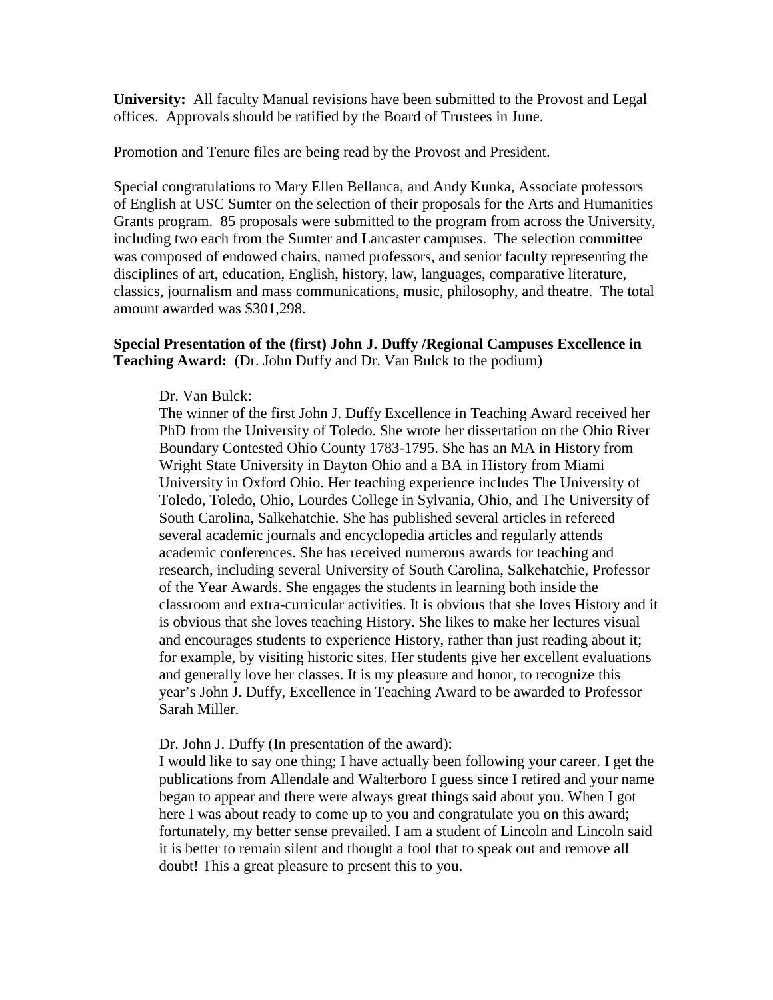**University:** All faculty Manual revisions have been submitted to the Provost and Legal offices. Approvals should be ratified by the Board of Trustees in June.

Promotion and Tenure files are being read by the Provost and President.

Special congratulations to Mary Ellen Bellanca, and Andy Kunka, Associate professors of English at USC Sumter on the selection of their proposals for the Arts and Humanities Grants program. 85 proposals were submitted to the program from across the University, including two each from the Sumter and Lancaster campuses. The selection committee was composed of endowed chairs, named professors, and senior faculty representing the disciplines of art, education, English, history, law, languages, comparative literature, classics, journalism and mass communications, music, philosophy, and theatre. The total amount awarded was \$301,298.

## **Special Presentation of the (first) John J. Duffy /Regional Campuses Excellence in Teaching Award:** (Dr. John Duffy and Dr. Van Bulck to the podium)

Dr. Van Bulck:

The winner of the first John J. Duffy Excellence in Teaching Award received her PhD from the University of Toledo. She wrote her dissertation on the Ohio River Boundary Contested Ohio County 1783-1795. She has an MA in History from Wright State University in Dayton Ohio and a BA in History from Miami University in Oxford Ohio. Her teaching experience includes The University of Toledo, Toledo, Ohio, Lourdes College in Sylvania, Ohio, and The University of South Carolina, Salkehatchie. She has published several articles in refereed several academic journals and encyclopedia articles and regularly attends academic conferences. She has received numerous awards for teaching and research, including several University of South Carolina, Salkehatchie, Professor of the Year Awards. She engages the students in learning both inside the classroom and extra-curricular activities. It is obvious that she loves History and it is obvious that she loves teaching History. She likes to make her lectures visual and encourages students to experience History, rather than just reading about it; for example, by visiting historic sites. Her students give her excellent evaluations and generally love her classes. It is my pleasure and honor, to recognize this year's John J. Duffy, Excellence in Teaching Award to be awarded to Professor Sarah Miller.

#### Dr. John J. Duffy (In presentation of the award):

I would like to say one thing; I have actually been following your career. I get the publications from Allendale and Walterboro I guess since I retired and your name began to appear and there were always great things said about you. When I got here I was about ready to come up to you and congratulate you on this award; fortunately, my better sense prevailed. I am a student of Lincoln and Lincoln said it is better to remain silent and thought a fool that to speak out and remove all doubt! This a great pleasure to present this to you.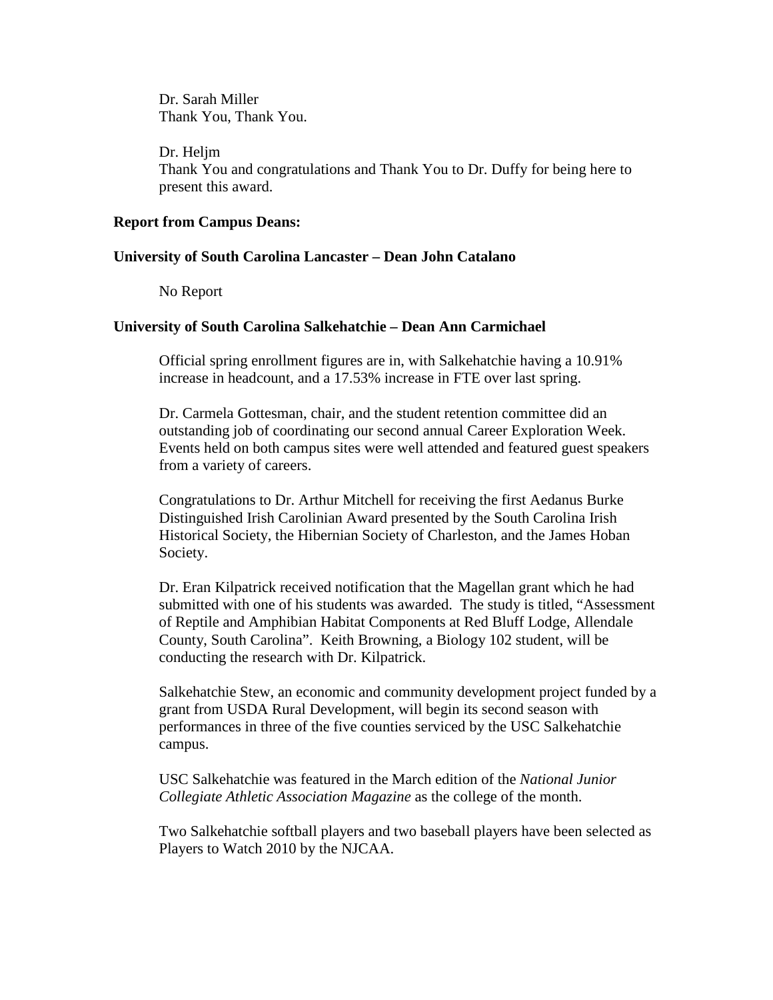Dr. Sarah Miller Thank You, Thank You.

Dr. Heljm Thank You and congratulations and Thank You to Dr. Duffy for being here to present this award.

## **Report from Campus Deans:**

## **University of South Carolina Lancaster – Dean John Catalano**

No Report

## **University of South Carolina Salkehatchie – Dean Ann Carmichael**

Official spring enrollment figures are in, with Salkehatchie having a 10.91% increase in headcount, and a 17.53% increase in FTE over last spring.

Dr. Carmela Gottesman, chair, and the student retention committee did an outstanding job of coordinating our second annual Career Exploration Week. Events held on both campus sites were well attended and featured guest speakers from a variety of careers.

Congratulations to Dr. Arthur Mitchell for receiving the first Aedanus Burke Distinguished Irish Carolinian Award presented by the South Carolina Irish Historical Society, the Hibernian Society of Charleston, and the James Hoban Society.

Dr. Eran Kilpatrick received notification that the Magellan grant which he had submitted with one of his students was awarded. The study is titled, "Assessment of Reptile and Amphibian Habitat Components at Red Bluff Lodge, Allendale County, South Carolina". Keith Browning, a Biology 102 student, will be conducting the research with Dr. Kilpatrick.

Salkehatchie Stew, an economic and community development project funded by a grant from USDA Rural Development, will begin its second season with performances in three of the five counties serviced by the USC Salkehatchie campus.

USC Salkehatchie was featured in the March edition of the *National Junior Collegiate Athletic Association Magazine* as the college of the month.

Two Salkehatchie softball players and two baseball players have been selected as Players to Watch 2010 by the NJCAA.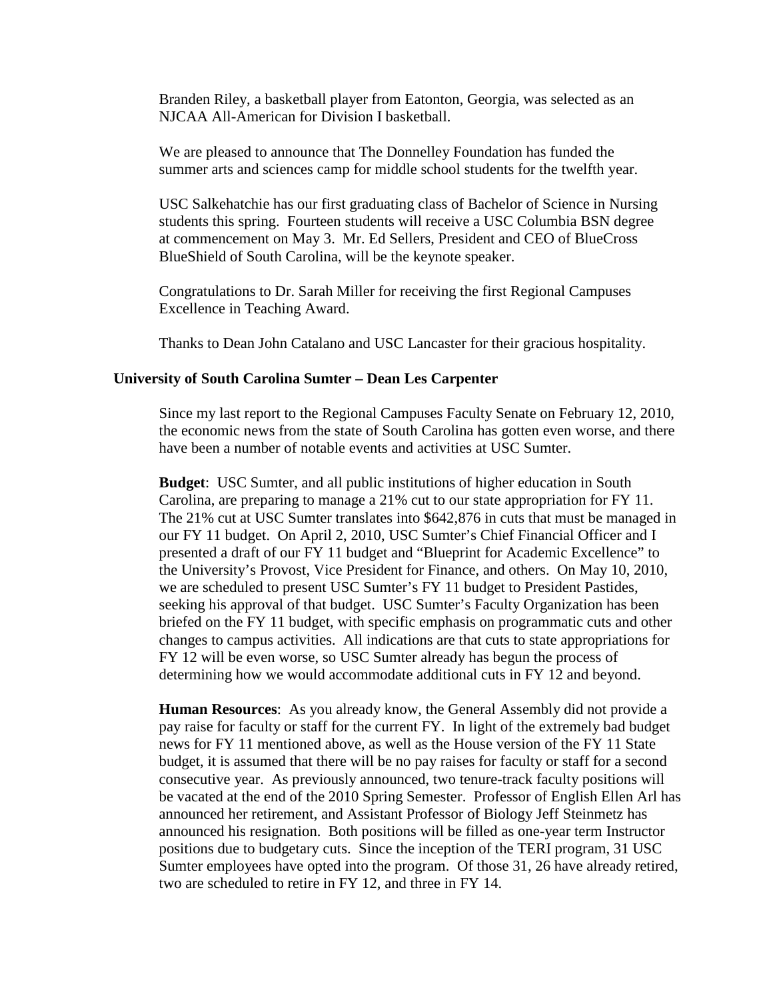Branden Riley, a basketball player from Eatonton, Georgia, was selected as an NJCAA All-American for Division I basketball.

We are pleased to announce that The Donnelley Foundation has funded the summer arts and sciences camp for middle school students for the twelfth year.

USC Salkehatchie has our first graduating class of Bachelor of Science in Nursing students this spring. Fourteen students will receive a USC Columbia BSN degree at commencement on May 3. Mr. Ed Sellers, President and CEO of BlueCross BlueShield of South Carolina, will be the keynote speaker.

Congratulations to Dr. Sarah Miller for receiving the first Regional Campuses Excellence in Teaching Award.

Thanks to Dean John Catalano and USC Lancaster for their gracious hospitality.

### **University of South Carolina Sumter – Dean Les Carpenter**

Since my last report to the Regional Campuses Faculty Senate on February 12, 2010, the economic news from the state of South Carolina has gotten even worse, and there have been a number of notable events and activities at USC Sumter.

**Budget**: USC Sumter, and all public institutions of higher education in South Carolina, are preparing to manage a 21% cut to our state appropriation for FY 11. The 21% cut at USC Sumter translates into \$642,876 in cuts that must be managed in our FY 11 budget. On April 2, 2010, USC Sumter's Chief Financial Officer and I presented a draft of our FY 11 budget and "Blueprint for Academic Excellence" to the University's Provost, Vice President for Finance, and others. On May 10, 2010, we are scheduled to present USC Sumter's FY 11 budget to President Pastides, seeking his approval of that budget. USC Sumter's Faculty Organization has been briefed on the FY 11 budget, with specific emphasis on programmatic cuts and other changes to campus activities. All indications are that cuts to state appropriations for FY 12 will be even worse, so USC Sumter already has begun the process of determining how we would accommodate additional cuts in FY 12 and beyond.

**Human Resources**: As you already know, the General Assembly did not provide a pay raise for faculty or staff for the current FY. In light of the extremely bad budget news for FY 11 mentioned above, as well as the House version of the FY 11 State budget, it is assumed that there will be no pay raises for faculty or staff for a second consecutive year. As previously announced, two tenure-track faculty positions will be vacated at the end of the 2010 Spring Semester. Professor of English Ellen Arl has announced her retirement, and Assistant Professor of Biology Jeff Steinmetz has announced his resignation. Both positions will be filled as one-year term Instructor positions due to budgetary cuts. Since the inception of the TERI program, 31 USC Sumter employees have opted into the program. Of those 31, 26 have already retired, two are scheduled to retire in FY 12, and three in FY 14.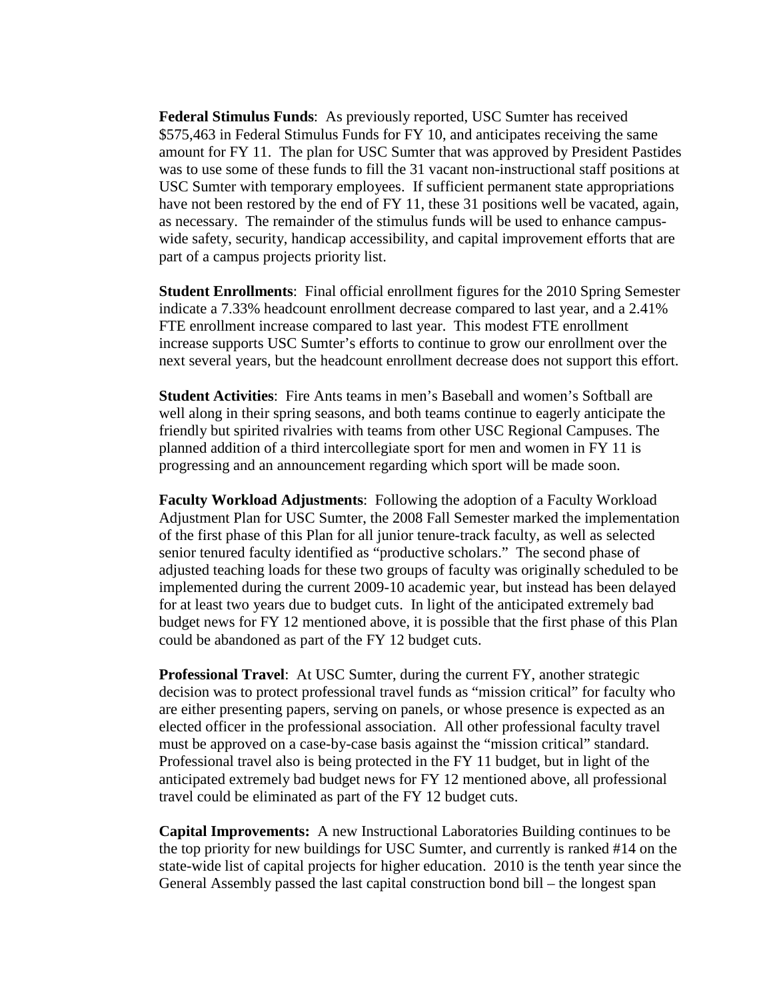**Federal Stimulus Funds**: As previously reported, USC Sumter has received \$575,463 in Federal Stimulus Funds for FY 10, and anticipates receiving the same amount for FY 11. The plan for USC Sumter that was approved by President Pastides was to use some of these funds to fill the 31 vacant non-instructional staff positions at USC Sumter with temporary employees. If sufficient permanent state appropriations have not been restored by the end of FY 11, these 31 positions well be vacated, again, as necessary. The remainder of the stimulus funds will be used to enhance campuswide safety, security, handicap accessibility, and capital improvement efforts that are part of a campus projects priority list.

**Student Enrollments**: Final official enrollment figures for the 2010 Spring Semester indicate a 7.33% headcount enrollment decrease compared to last year, and a 2.41% FTE enrollment increase compared to last year. This modest FTE enrollment increase supports USC Sumter's efforts to continue to grow our enrollment over the next several years, but the headcount enrollment decrease does not support this effort.

**Student Activities**: Fire Ants teams in men's Baseball and women's Softball are well along in their spring seasons, and both teams continue to eagerly anticipate the friendly but spirited rivalries with teams from other USC Regional Campuses. The planned addition of a third intercollegiate sport for men and women in FY 11 is progressing and an announcement regarding which sport will be made soon.

**Faculty Workload Adjustments**: Following the adoption of a Faculty Workload Adjustment Plan for USC Sumter, the 2008 Fall Semester marked the implementation of the first phase of this Plan for all junior tenure-track faculty, as well as selected senior tenured faculty identified as "productive scholars." The second phase of adjusted teaching loads for these two groups of faculty was originally scheduled to be implemented during the current 2009-10 academic year, but instead has been delayed for at least two years due to budget cuts. In light of the anticipated extremely bad budget news for FY 12 mentioned above, it is possible that the first phase of this Plan could be abandoned as part of the FY 12 budget cuts.

**Professional Travel**: At USC Sumter, during the current FY, another strategic decision was to protect professional travel funds as "mission critical" for faculty who are either presenting papers, serving on panels, or whose presence is expected as an elected officer in the professional association. All other professional faculty travel must be approved on a case-by-case basis against the "mission critical" standard. Professional travel also is being protected in the FY 11 budget, but in light of the anticipated extremely bad budget news for FY 12 mentioned above, all professional travel could be eliminated as part of the FY 12 budget cuts.

**Capital Improvements:** A new Instructional Laboratories Building continues to be the top priority for new buildings for USC Sumter, and currently is ranked #14 on the state-wide list of capital projects for higher education. 2010 is the tenth year since the General Assembly passed the last capital construction bond bill – the longest span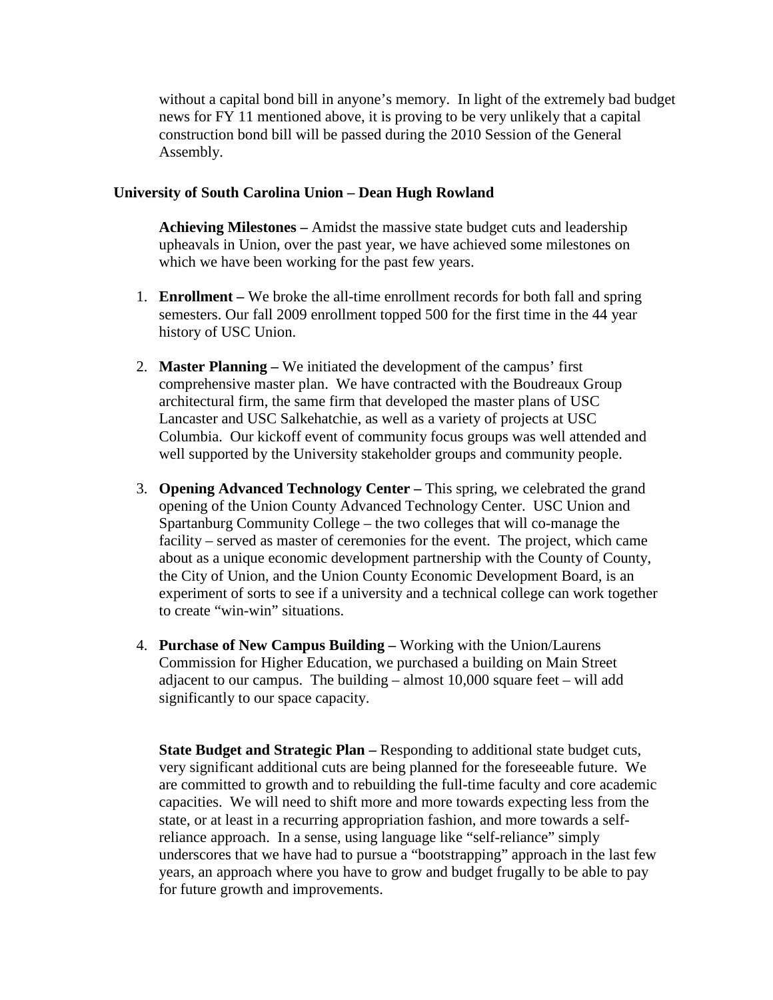without a capital bond bill in anyone's memory. In light of the extremely bad budget news for FY 11 mentioned above, it is proving to be very unlikely that a capital construction bond bill will be passed during the 2010 Session of the General Assembly.

## **University of South Carolina Union – Dean Hugh Rowland**

**Achieving Milestones –** Amidst the massive state budget cuts and leadership upheavals in Union, over the past year, we have achieved some milestones on which we have been working for the past few years.

- 1. **Enrollment –** We broke the all-time enrollment records for both fall and spring semesters. Our fall 2009 enrollment topped 500 for the first time in the 44 year history of USC Union.
- 2. **Master Planning –** We initiated the development of the campus' first comprehensive master plan. We have contracted with the Boudreaux Group architectural firm, the same firm that developed the master plans of USC Lancaster and USC Salkehatchie, as well as a variety of projects at USC Columbia. Our kickoff event of community focus groups was well attended and well supported by the University stakeholder groups and community people.
- 3. **Opening Advanced Technology Center –** This spring, we celebrated the grand opening of the Union County Advanced Technology Center. USC Union and Spartanburg Community College – the two colleges that will co-manage the facility – served as master of ceremonies for the event. The project, which came about as a unique economic development partnership with the County of County, the City of Union, and the Union County Economic Development Board, is an experiment of sorts to see if a university and a technical college can work together to create "win-win" situations.
- 4. **Purchase of New Campus Building –** Working with the Union/Laurens Commission for Higher Education, we purchased a building on Main Street adjacent to our campus. The building – almost 10,000 square feet – will add significantly to our space capacity.

**State Budget and Strategic Plan –** Responding to additional state budget cuts, very significant additional cuts are being planned for the foreseeable future. We are committed to growth and to rebuilding the full-time faculty and core academic capacities. We will need to shift more and more towards expecting less from the state, or at least in a recurring appropriation fashion, and more towards a selfreliance approach. In a sense, using language like "self-reliance" simply underscores that we have had to pursue a "bootstrapping" approach in the last few years, an approach where you have to grow and budget frugally to be able to pay for future growth and improvements.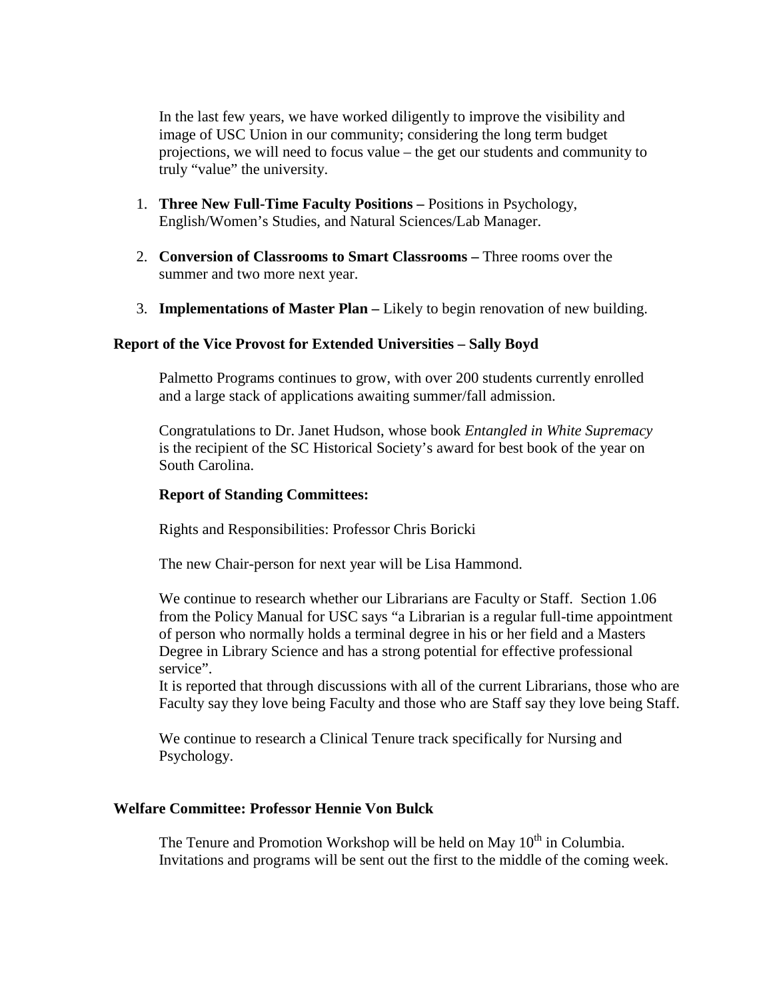In the last few years, we have worked diligently to improve the visibility and image of USC Union in our community; considering the long term budget projections, we will need to focus value – the get our students and community to truly "value" the university.

- 1. **Three New Full-Time Faculty Positions –** Positions in Psychology, English/Women's Studies, and Natural Sciences/Lab Manager.
- 2. **Conversion of Classrooms to Smart Classrooms –** Three rooms over the summer and two more next year.
- 3. **Implementations of Master Plan –** Likely to begin renovation of new building.

## **Report of the Vice Provost for Extended Universities – Sally Boyd**

Palmetto Programs continues to grow, with over 200 students currently enrolled and a large stack of applications awaiting summer/fall admission.

Congratulations to Dr. Janet Hudson, whose book *Entangled in White Supremacy* is the recipient of the SC Historical Society's award for best book of the year on South Carolina.

### **Report of Standing Committees:**

Rights and Responsibilities: Professor Chris Boricki

The new Chair-person for next year will be Lisa Hammond.

We continue to research whether our Librarians are Faculty or Staff. Section 1.06 from the Policy Manual for USC says "a Librarian is a regular full-time appointment of person who normally holds a terminal degree in his or her field and a Masters Degree in Library Science and has a strong potential for effective professional service".

It is reported that through discussions with all of the current Librarians, those who are Faculty say they love being Faculty and those who are Staff say they love being Staff.

We continue to research a Clinical Tenure track specifically for Nursing and Psychology.

## **Welfare Committee: Professor Hennie Von Bulck**

The Tenure and Promotion Workshop will be held on May  $10<sup>th</sup>$  in Columbia. Invitations and programs will be sent out the first to the middle of the coming week.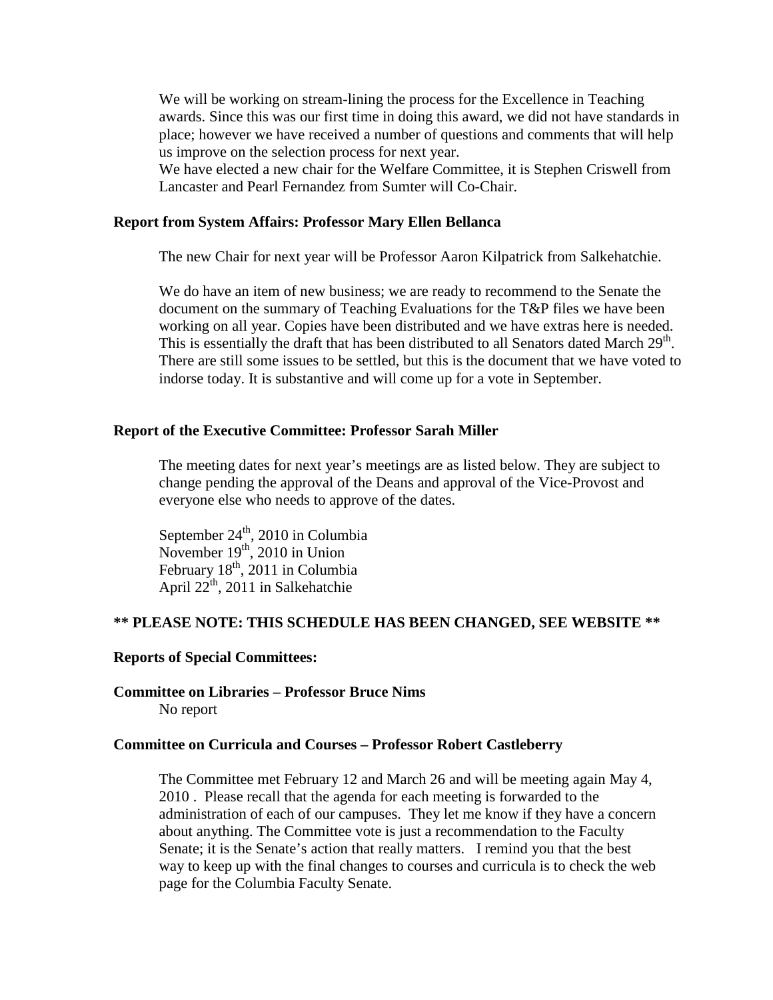We will be working on stream-lining the process for the Excellence in Teaching awards. Since this was our first time in doing this award, we did not have standards in place; however we have received a number of questions and comments that will help us improve on the selection process for next year.

We have elected a new chair for the Welfare Committee, it is Stephen Criswell from Lancaster and Pearl Fernandez from Sumter will Co-Chair.

#### **Report from System Affairs: Professor Mary Ellen Bellanca**

The new Chair for next year will be Professor Aaron Kilpatrick from Salkehatchie.

We do have an item of new business; we are ready to recommend to the Senate the document on the summary of Teaching Evaluations for the T&P files we have been working on all year. Copies have been distributed and we have extras here is needed. This is essentially the draft that has been distributed to all Senators dated March 29<sup>th</sup>. There are still some issues to be settled, but this is the document that we have voted to indorse today. It is substantive and will come up for a vote in September.

#### **Report of the Executive Committee: Professor Sarah Miller**

The meeting dates for next year's meetings are as listed below. They are subject to change pending the approval of the Deans and approval of the Vice-Provost and everyone else who needs to approve of the dates.

September  $24<sup>th</sup>$ , 2010 in Columbia November  $19<sup>th</sup>$ , 2010 in Union February  $18<sup>th</sup>$ , 2011 in Columbia April 22<sup>th</sup>, 2011 in Salkehatchie

#### **\*\* PLEASE NOTE: THIS SCHEDULE HAS BEEN CHANGED, SEE WEBSITE \*\***

#### **Reports of Special Committees:**

#### **Committee on Libraries – Professor Bruce Nims** No report

#### **Committee on Curricula and Courses – Professor Robert Castleberry**

The Committee met February 12 and March 26 and will be meeting again May 4, 2010 . Please recall that the agenda for each meeting is forwarded to the administration of each of our campuses. They let me know if they have a concern about anything. The Committee vote is just a recommendation to the Faculty Senate; it is the Senate's action that really matters. I remind you that the best way to keep up with the final changes to courses and curricula is to check the web page for the Columbia Faculty Senate.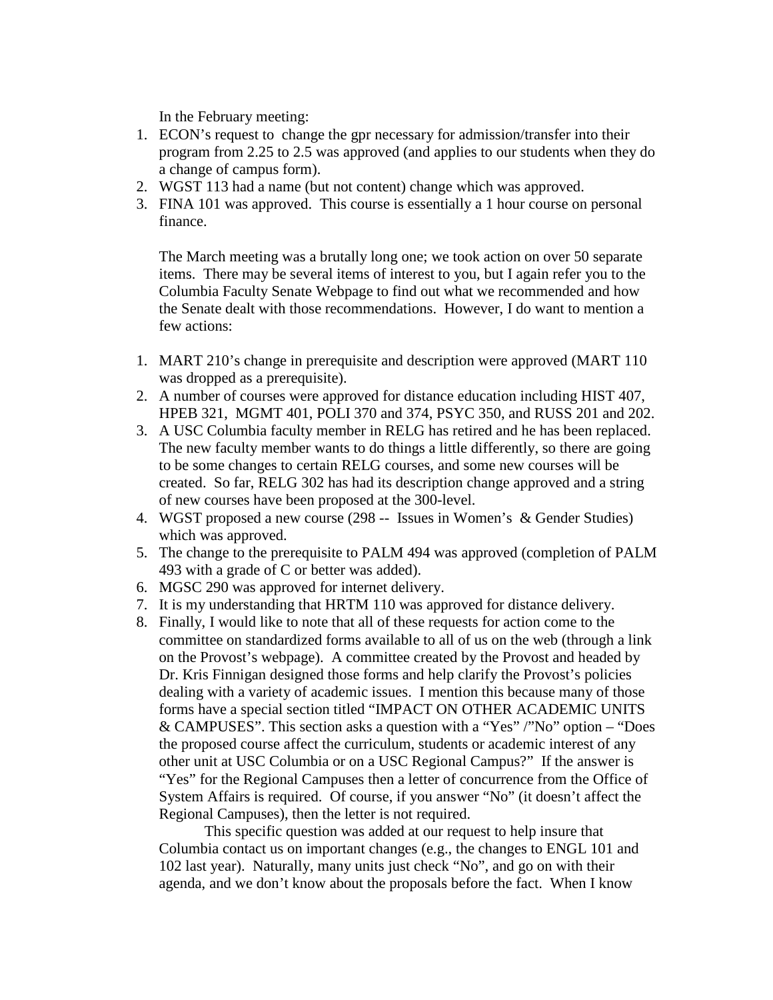In the February meeting:

- 1. ECON's request to change the gpr necessary for admission/transfer into their program from 2.25 to 2.5 was approved (and applies to our students when they do a change of campus form).
- 2. WGST 113 had a name (but not content) change which was approved.
- 3. FINA 101 was approved. This course is essentially a 1 hour course on personal finance.

The March meeting was a brutally long one; we took action on over 50 separate items. There may be several items of interest to you, but I again refer you to the Columbia Faculty Senate Webpage to find out what we recommended and how the Senate dealt with those recommendations. However, I do want to mention a few actions:

- 1. MART 210's change in prerequisite and description were approved (MART 110 was dropped as a prerequisite).
- 2. A number of courses were approved for distance education including HIST 407, HPEB 321, MGMT 401, POLI 370 and 374, PSYC 350, and RUSS 201 and 202.
- 3. A USC Columbia faculty member in RELG has retired and he has been replaced. The new faculty member wants to do things a little differently, so there are going to be some changes to certain RELG courses, and some new courses will be created. So far, RELG 302 has had its description change approved and a string of new courses have been proposed at the 300-level.
- 4. WGST proposed a new course (298 -- Issues in Women's & Gender Studies) which was approved.
- 5. The change to the prerequisite to PALM 494 was approved (completion of PALM 493 with a grade of C or better was added).
- 6. MGSC 290 was approved for internet delivery.
- 7. It is my understanding that HRTM 110 was approved for distance delivery.
- 8. Finally, I would like to note that all of these requests for action come to the committee on standardized forms available to all of us on the web (through a link on the Provost's webpage). A committee created by the Provost and headed by Dr. Kris Finnigan designed those forms and help clarify the Provost's policies dealing with a variety of academic issues. I mention this because many of those forms have a special section titled "IMPACT ON OTHER ACADEMIC UNITS & CAMPUSES". This section asks a question with a "Yes" /"No" option – "Does the proposed course affect the curriculum, students or academic interest of any other unit at USC Columbia or on a USC Regional Campus?" If the answer is "Yes" for the Regional Campuses then a letter of concurrence from the Office of System Affairs is required. Of course, if you answer "No" (it doesn't affect the Regional Campuses), then the letter is not required.

This specific question was added at our request to help insure that Columbia contact us on important changes (e.g., the changes to ENGL 101 and 102 last year). Naturally, many units just check "No", and go on with their agenda, and we don't know about the proposals before the fact. When I know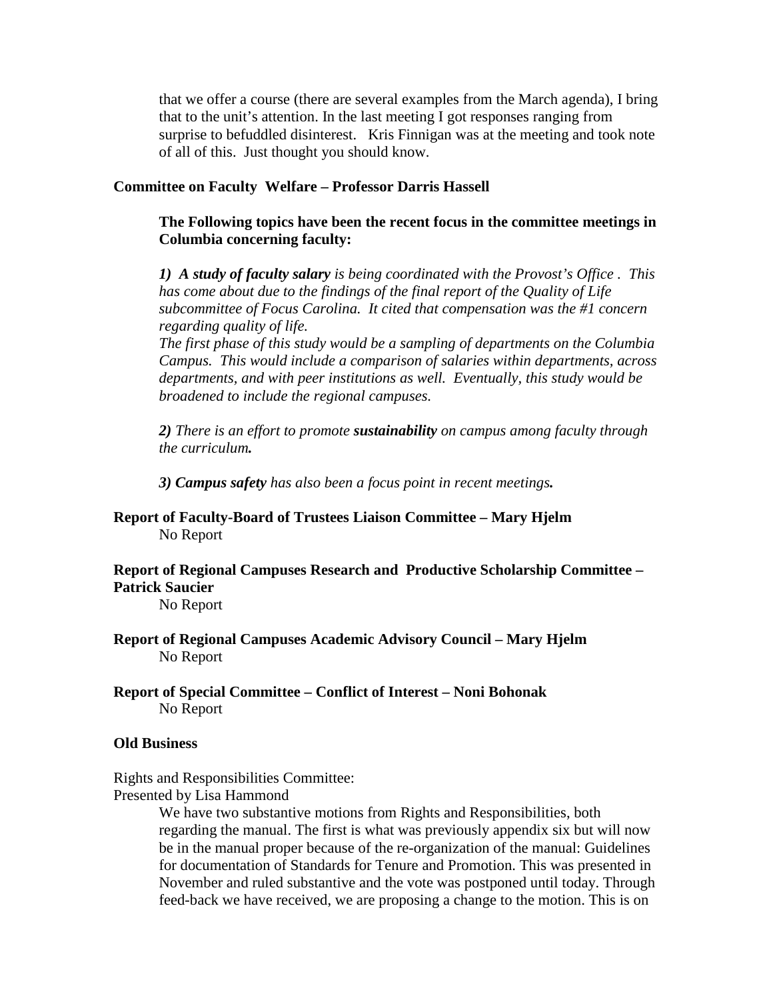that we offer a course (there are several examples from the March agenda), I bring that to the unit's attention. In the last meeting I got responses ranging from surprise to befuddled disinterest. Kris Finnigan was at the meeting and took note of all of this. Just thought you should know.

### **Committee on Faculty Welfare – Professor Darris Hassell**

**The Following topics have been the recent focus in the committee meetings in Columbia concerning faculty:**

*1) A study of faculty salary is being coordinated with the Provost's Office . This has come about due to the findings of the final report of the Quality of Life subcommittee of Focus Carolina. It cited that compensation was the #1 concern regarding quality of life.* 

*The first phase of this study would be a sampling of departments on the Columbia Campus. This would include a comparison of salaries within departments, across departments, and with peer institutions as well. Eventually, this study would be broadened to include the regional campuses.*

*2) There is an effort to promote sustainability on campus among faculty through the curriculum.*

*3) Campus safety has also been a focus point in recent meetings.*

## **Report of Faculty-Board of Trustees Liaison Committee – Mary Hjelm** No Report

## **Report of Regional Campuses Research and Productive Scholarship Committee – Patrick Saucier**

No Report

- **Report of Regional Campuses Academic Advisory Council – Mary Hjelm** No Report
- **Report of Special Committee – Conflict of Interest – Noni Bohonak** No Report

## **Old Business**

Rights and Responsibilities Committee: Presented by Lisa Hammond

> We have two substantive motions from Rights and Responsibilities, both regarding the manual. The first is what was previously appendix six but will now be in the manual proper because of the re-organization of the manual: Guidelines for documentation of Standards for Tenure and Promotion. This was presented in November and ruled substantive and the vote was postponed until today. Through feed-back we have received, we are proposing a change to the motion. This is on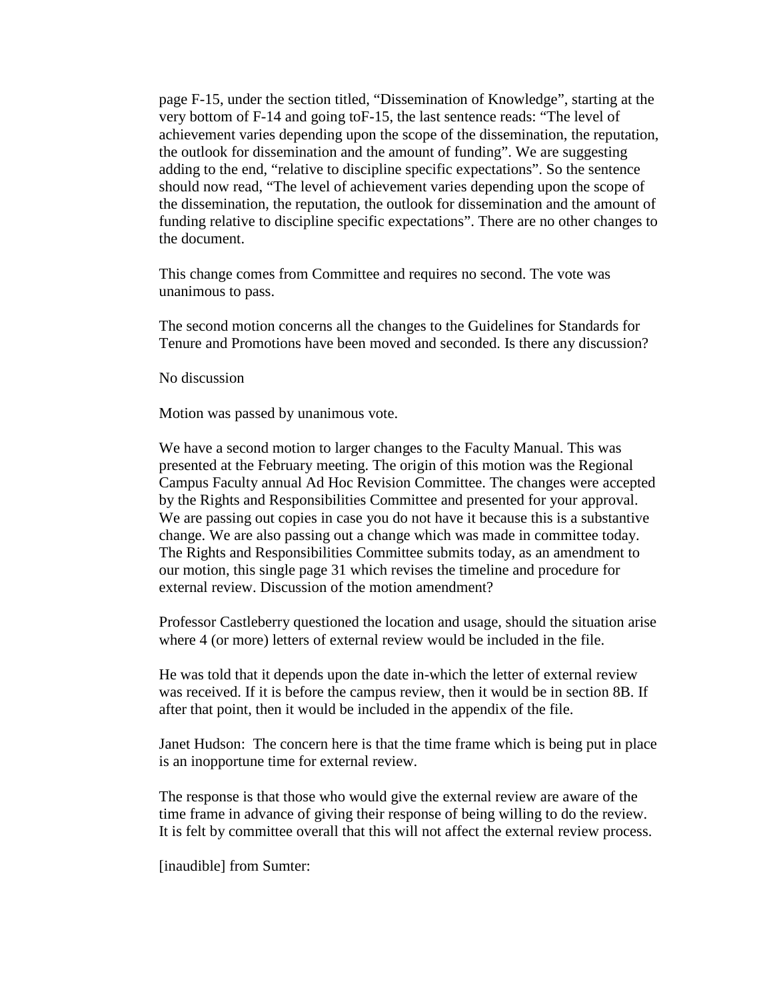page F-15, under the section titled, "Dissemination of Knowledge", starting at the very bottom of F-14 and going toF-15, the last sentence reads: "The level of achievement varies depending upon the scope of the dissemination, the reputation, the outlook for dissemination and the amount of funding". We are suggesting adding to the end, "relative to discipline specific expectations". So the sentence should now read, "The level of achievement varies depending upon the scope of the dissemination, the reputation, the outlook for dissemination and the amount of funding relative to discipline specific expectations". There are no other changes to the document.

This change comes from Committee and requires no second. The vote was unanimous to pass.

The second motion concerns all the changes to the Guidelines for Standards for Tenure and Promotions have been moved and seconded. Is there any discussion?

No discussion

Motion was passed by unanimous vote.

We have a second motion to larger changes to the Faculty Manual. This was presented at the February meeting. The origin of this motion was the Regional Campus Faculty annual Ad Hoc Revision Committee. The changes were accepted by the Rights and Responsibilities Committee and presented for your approval. We are passing out copies in case you do not have it because this is a substantive change. We are also passing out a change which was made in committee today. The Rights and Responsibilities Committee submits today, as an amendment to our motion, this single page 31 which revises the timeline and procedure for external review. Discussion of the motion amendment?

Professor Castleberry questioned the location and usage, should the situation arise where 4 (or more) letters of external review would be included in the file.

He was told that it depends upon the date in-which the letter of external review was received. If it is before the campus review, then it would be in section 8B. If after that point, then it would be included in the appendix of the file.

Janet Hudson: The concern here is that the time frame which is being put in place is an inopportune time for external review.

The response is that those who would give the external review are aware of the time frame in advance of giving their response of being willing to do the review. It is felt by committee overall that this will not affect the external review process.

[inaudible] from Sumter: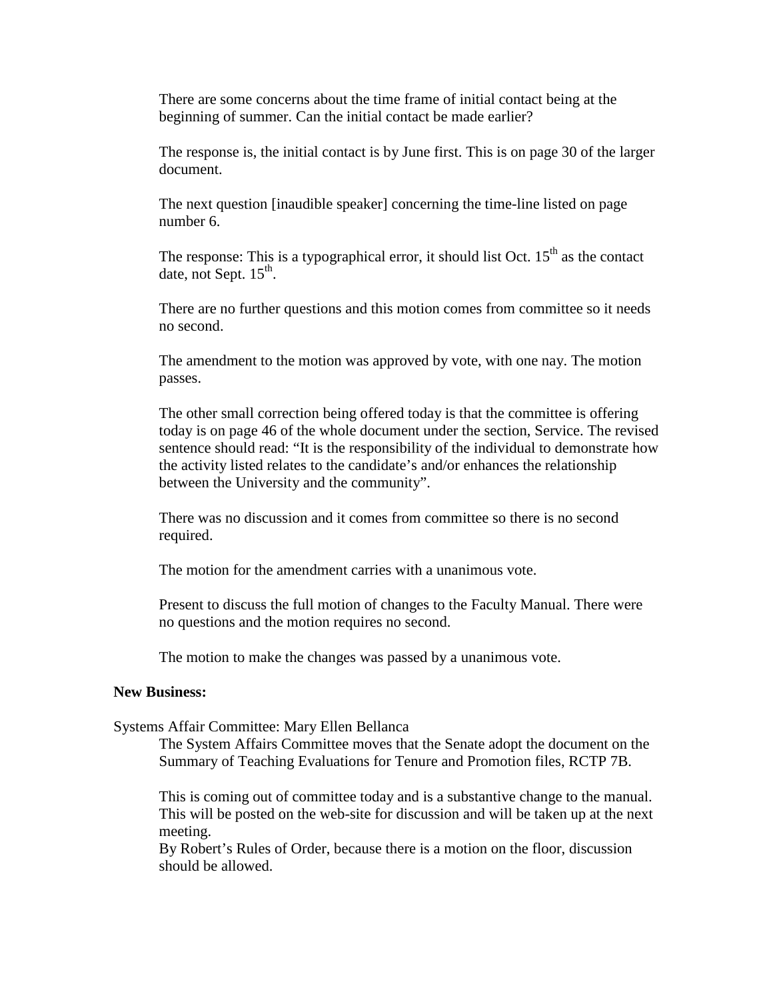There are some concerns about the time frame of initial contact being at the beginning of summer. Can the initial contact be made earlier?

The response is, the initial contact is by June first. This is on page 30 of the larger document.

The next question [inaudible speaker] concerning the time-line listed on page number 6.

The response: This is a typographical error, it should list Oct.  $15<sup>th</sup>$  as the contact date, not Sept.  $15<sup>th</sup>$ .

There are no further questions and this motion comes from committee so it needs no second.

The amendment to the motion was approved by vote, with one nay. The motion passes.

The other small correction being offered today is that the committee is offering today is on page 46 of the whole document under the section, Service. The revised sentence should read: "It is the responsibility of the individual to demonstrate how the activity listed relates to the candidate's and/or enhances the relationship between the University and the community".

There was no discussion and it comes from committee so there is no second required.

The motion for the amendment carries with a unanimous vote.

Present to discuss the full motion of changes to the Faculty Manual. There were no questions and the motion requires no second.

The motion to make the changes was passed by a unanimous vote.

#### **New Business:**

Systems Affair Committee: Mary Ellen Bellanca

The System Affairs Committee moves that the Senate adopt the document on the Summary of Teaching Evaluations for Tenure and Promotion files, RCTP 7B.

This is coming out of committee today and is a substantive change to the manual. This will be posted on the web-site for discussion and will be taken up at the next meeting.

By Robert's Rules of Order, because there is a motion on the floor, discussion should be allowed.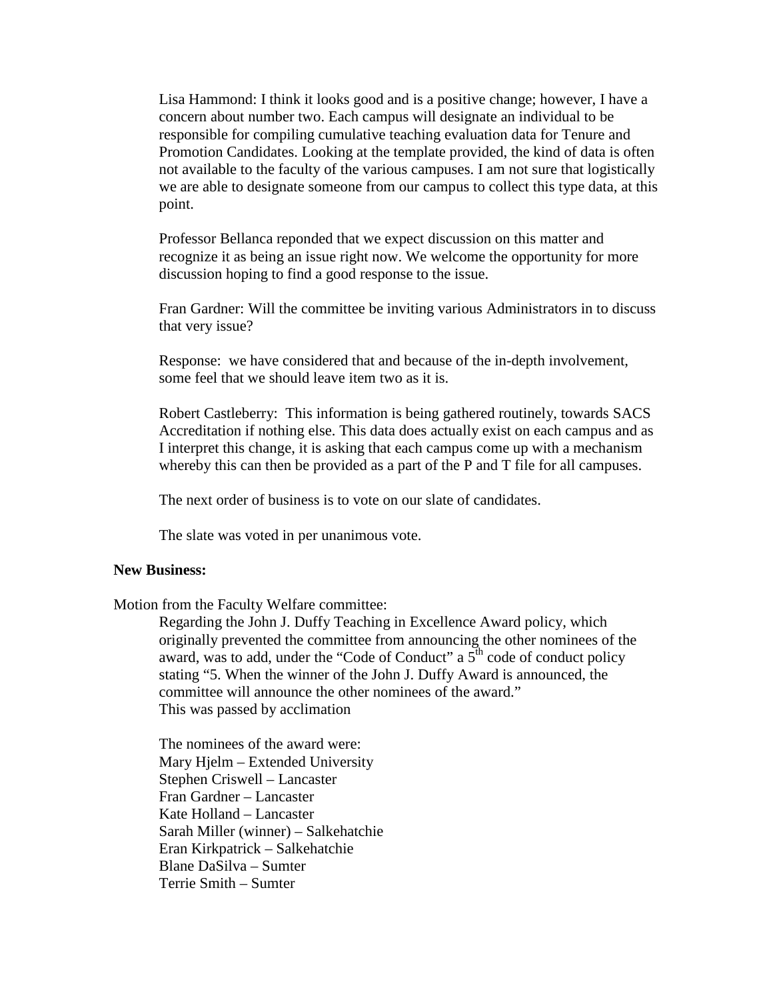Lisa Hammond: I think it looks good and is a positive change; however, I have a concern about number two. Each campus will designate an individual to be responsible for compiling cumulative teaching evaluation data for Tenure and Promotion Candidates. Looking at the template provided, the kind of data is often not available to the faculty of the various campuses. I am not sure that logistically we are able to designate someone from our campus to collect this type data, at this point.

Professor Bellanca reponded that we expect discussion on this matter and recognize it as being an issue right now. We welcome the opportunity for more discussion hoping to find a good response to the issue.

Fran Gardner: Will the committee be inviting various Administrators in to discuss that very issue?

Response: we have considered that and because of the in-depth involvement, some feel that we should leave item two as it is.

Robert Castleberry: This information is being gathered routinely, towards SACS Accreditation if nothing else. This data does actually exist on each campus and as I interpret this change, it is asking that each campus come up with a mechanism whereby this can then be provided as a part of the P and T file for all campuses.

The next order of business is to vote on our slate of candidates.

The slate was voted in per unanimous vote.

#### **New Business:**

Motion from the Faculty Welfare committee:

Regarding the John J. Duffy Teaching in Excellence Award policy, which originally prevented the committee from announcing the other nominees of the award, was to add, under the "Code of Conduct" a  $5<sup>th</sup>$  code of conduct policy stating "5. When the winner of the John J. Duffy Award is announced, the committee will announce the other nominees of the award." This was passed by acclimation

The nominees of the award were: Mary Hjelm – Extended University Stephen Criswell – Lancaster Fran Gardner – Lancaster Kate Holland – Lancaster Sarah Miller (winner) – Salkehatchie Eran Kirkpatrick – Salkehatchie Blane DaSilva – Sumter Terrie Smith – Sumter